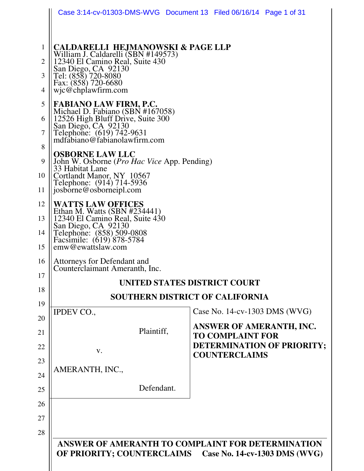| Case 3:14-cv-01303-DMS-WVG Document 13 Filed 06/16/14 Page 1 of 31                                                                                                                                                   |                                                                                                               |  |
|----------------------------------------------------------------------------------------------------------------------------------------------------------------------------------------------------------------------|---------------------------------------------------------------------------------------------------------------|--|
| <b>CALDARELLI HEJMANOWSKI &amp; PAGE LLP</b><br>William J. Caldarelli (SBN #149573)<br>12340 El Camino Real, Suite 430<br>San Diego, CA 92130<br>Tel: (858) 720-8080<br>Fax: (858) 720-6680<br>$w$ jc@chplawfirm.com |                                                                                                               |  |
| <b>FABIANO LAW FIRM, P.C.</b><br>Michael D. Fabiano (SBN #167058)<br>12526 High Bluff Drive, Suite 300<br>San Diego, CA 92130<br>Telephone: (619) 742-9631<br>mdfabiano@fabianolawfirm.com                           |                                                                                                               |  |
| <b>OSBORNE LAW LLC</b><br>John W. Osborne ( <i>Pro Hac Vice App. Pending</i> )<br>33 Habitat Lane<br>Cortlandt Manor, NY 10567<br>10<br>Telephone: (914) 714-5936<br>josborne@osborneipl.com                         |                                                                                                               |  |
| <b>WATTS LAW OFFICES</b><br>Ethan M. Watts (SBN #234441)<br>12340 El Camino Real, Suite 430<br>San Diego, CA 92130<br>Telephone: (858) 509-0808<br>Facsimile: (619) 878-5784<br>emw@ewattslaw.com                    |                                                                                                               |  |
| Attorneys for Defendant and<br>Counterclaimant Ameranth, Inc.                                                                                                                                                        |                                                                                                               |  |
| UNITED STATES DISTRICT COURT                                                                                                                                                                                         |                                                                                                               |  |
| <b>SOUTHERN DISTRICT OF CALIFORNIA</b>                                                                                                                                                                               |                                                                                                               |  |
| <b>IPDEV CO.,</b>                                                                                                                                                                                                    | Case No. 14-cv-1303 DMS (WVG)                                                                                 |  |
| Plaintiff,<br>V.                                                                                                                                                                                                     | ANSWER OF AMERANTH, INC.<br><b>TO COMPLAINT FOR</b><br>DETERMINATION OF PRIORITY;                             |  |
| AMERANTH, INC.,                                                                                                                                                                                                      | <b>COUNTERCLAIMS</b>                                                                                          |  |
| Defendant.                                                                                                                                                                                                           |                                                                                                               |  |
|                                                                                                                                                                                                                      |                                                                                                               |  |
|                                                                                                                                                                                                                      |                                                                                                               |  |
|                                                                                                                                                                                                                      |                                                                                                               |  |
|                                                                                                                                                                                                                      | ANSWER OF AMERANTH TO COMPLAINT FOR DETERMINATION<br>OF PRIORITY; COUNTERCLAIMS Case No. 14-cv-1303 DMS (WVG) |  |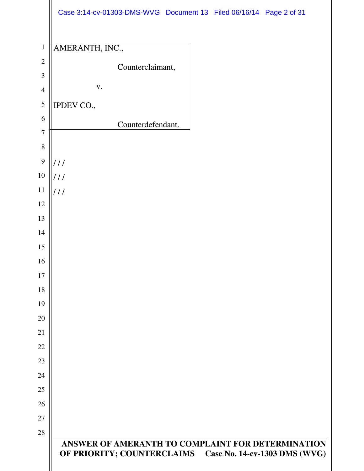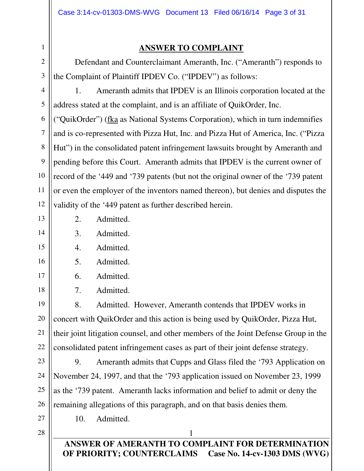## **ANSWER TO COMPLAINT**

 Defendant and Counterclaimant Ameranth, Inc. ("Ameranth") responds to the Complaint of Plaintiff IPDEV Co. ("IPDEV") as follows:

1. Ameranth admits that IPDEV is an Illinois corporation located at the address stated at the complaint, and is an affiliate of QuikOrder, Inc.

("QuikOrder") (fka as National Systems Corporation), which in turn indemnifies and is co-represented with Pizza Hut, Inc. and Pizza Hut of America, Inc. ("Pizza Hut") in the consolidated patent infringement lawsuits brought by Ameranth and pending before this Court. Ameranth admits that IPDEV is the current owner of record of the '449 and '739 patents (but not the original owner of the '739 patent or even the employer of the inventors named thereon), but denies and disputes the validity of the '449 patent as further described herein.

20

21

1

2

3

4

5

6

7

8

9

10

11

12

2. Admitted.

- 3. Admitted.
- 4. Admitted.
- 5. Admitted.
- 

6. Admitted.

10. Admitted.

7. Admitted.

22 8. Admitted. However, Ameranth contends that IPDEV works in concert with QuikOrder and this action is being used by QuikOrder, Pizza Hut, their joint litigation counsel, and other members of the Joint Defense Group in the consolidated patent infringement cases as part of their joint defense strategy.

23 24 25 26 9. Ameranth admits that Cupps and Glass filed the '793 Application on November 24, 1997, and that the '793 application issued on November 23, 1999 as the '739 patent. Ameranth lacks information and belief to admit or deny the remaining allegations of this paragraph, and on that basis denies them.

- 27
- 28

**ANSWER OF AMERANTH TO COMPLAINT FOR DETERMINATION OF PRIORITY; COUNTERCLAIMS**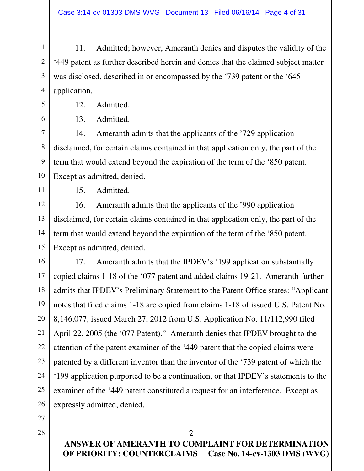11. Admitted; however, Ameranth denies and disputes the validity of the '449 patent as further described herein and denies that the claimed subject matter was disclosed, described in or encompassed by the '739 patent or the '645 application.

12. Admitted.

13. Admitted.

14. Ameranth admits that the applicants of the '729 application disclaimed, for certain claims contained in that application only, the part of the term that would extend beyond the expiration of the term of the '850 patent. Except as admitted, denied.

15. Admitted.

1

2

3

4

5

6

7

8

9

10

11

12

13

14

15

16. Ameranth admits that the applicants of the '990 application disclaimed, for certain claims contained in that application only, the part of the term that would extend beyond the expiration of the term of the '850 patent. Except as admitted, denied.

16 17 18 19 20 21 22 23 24 25 26 17. Ameranth admits that the IPDEV's '199 application substantially copied claims 1-18 of the '077 patent and added claims 19-21. Ameranth further admits that IPDEV's Preliminary Statement to the Patent Office states: "Applicant notes that filed claims 1-18 are copied from claims 1-18 of issued U.S. Patent No. 8,146,077, issued March 27, 2012 from U.S. Application No. 11/112,990 filed April 22, 2005 (the '077 Patent)." Ameranth denies that IPDEV brought to the attention of the patent examiner of the '449 patent that the copied claims were patented by a different inventor than the inventor of the '739 patent of which the '199 application purported to be a continuation, or that IPDEV's statements to the examiner of the '449 patent constituted a request for an interference. Except as expressly admitted, denied.

27

28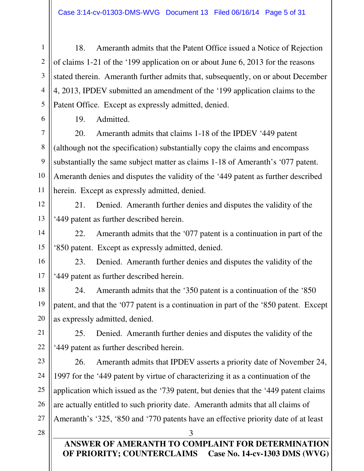18. Ameranth admits that the Patent Office issued a Notice of Rejection of claims 1-21 of the '199 application on or about June 6, 2013 for the reasons stated therein. Ameranth further admits that, subsequently, on or about December 4, 2013, IPDEV submitted an amendment of the '199 application claims to the Patent Office. Except as expressly admitted, denied.

19. Admitted.

1

2

3

4

5

6

7

8

9

10

11

12

13

14

15

16

17

18

19

20

21

22

23

24

25

26

20. Ameranth admits that claims 1-18 of the IPDEV '449 patent (although not the specification) substantially copy the claims and encompass substantially the same subject matter as claims 1-18 of Ameranth's '077 patent. Ameranth denies and disputes the validity of the '449 patent as further described herein. Except as expressly admitted, denied.

21. Denied. Ameranth further denies and disputes the validity of the '449 patent as further described herein.

22. Ameranth admits that the '077 patent is a continuation in part of the '850 patent. Except as expressly admitted, denied.

23. Denied. Ameranth further denies and disputes the validity of the '449 patent as further described herein.

24. Ameranth admits that the '350 patent is a continuation of the '850 patent, and that the '077 patent is a continuation in part of the '850 patent. Except as expressly admitted, denied.

25. Denied. Ameranth further denies and disputes the validity of the '449 patent as further described herein.

26. Ameranth admits that IPDEV asserts a priority date of November 24, 1997 for the '449 patent by virtue of characterizing it as a continuation of the application which issued as the '739 patent, but denies that the '449 patent claims are actually entitled to such priority date. Ameranth admits that all claims of Ameranth's '325, '850 and '770 patents have an effective priority date of at least

28

27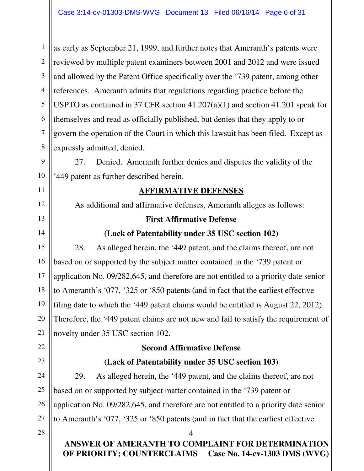1 2 3 4 5 6 7 8 as early as September 21, 1999, and further notes that Ameranth's patents were reviewed by multiple patent examiners between 2001 and 2012 and were issued and allowed by the Patent Office specifically over the '739 patent, among other references. Ameranth admits that regulations regarding practice before the USPTO as contained in 37 CFR section 41.207(a)(1) and section 41.201 speak for themselves and read as officially published, but denies that they apply to or govern the operation of the Court in which this lawsuit has been filed. Except as expressly admitted, denied.

27. Denied. Ameranth further denies and disputes the validity of the '449 patent as further described herein.

## **AFFIRMATIVE DEFENSES**

As additional and affirmative defenses, Ameranth alleges as follows:

#### **First Affirmative Defense**

## **(Lack of Patentability under 35 USC section 102)**

15 16 17 18 19 20 21 28. As alleged herein, the '449 patent, and the claims thereof, are not based on or supported by the subject matter contained in the '739 patent or application No. 09/282,645, and therefore are not entitled to a priority date senior to Ameranth's '077, '325 or '850 patents (and in fact that the earliest effective filing date to which the '449 patent claims would be entitled is August 22, 2012). Therefore, the '449 patent claims are not new and fail to satisfy the requirement of novelty under 35 USC section 102.

## **Second Affirmative Defense**

## **(Lack of Patentability under 35 USC section 103)**

29. As alleged herein, the '449 patent, and the claims thereof, are not based on or supported by subject matter contained in the '739 patent or application No. 09/282,645, and therefore are not entitled to a priority date senior to Ameranth's '077, '325 or '850 patents (and in fact that the earliest effective

28

22

23

24

25

26

27

9

10

11

12

13

14

#### **ANSWER OF AMERANTH TO COMPLAINT FOR DETERMINATION OF PRIORITY; COUNTERCLAIMS Case No. 14-cv-1303 DMS (WVG)**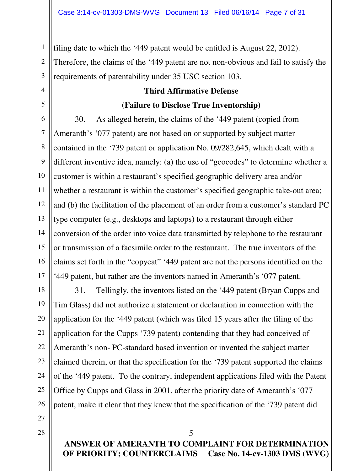filing date to which the '449 patent would be entitled is August 22, 2012). Therefore, the claims of the '449 patent are not non-obvious and fail to satisfy the requirements of patentability under 35 USC section 103.

## **Third Affirmative Defense (Failure to Disclose True Inventorship)**

30. As alleged herein, the claims of the '449 patent (copied from Ameranth's '077 patent) are not based on or supported by subject matter contained in the '739 patent or application No. 09/282,645, which dealt with a different inventive idea, namely: (a) the use of "geocodes" to determine whether a customer is within a restaurant's specified geographic delivery area and/or whether a restaurant is within the customer's specified geographic take-out area; and (b) the facilitation of the placement of an order from a customer's standard PC type computer (e.g., desktops and laptops) to a restaurant through either conversion of the order into voice data transmitted by telephone to the restaurant or transmission of a facsimile order to the restaurant. The true inventors of the claims set forth in the "copycat" '449 patent are not the persons identified on the '449 patent, but rather are the inventors named in Ameranth's '077 patent.

31. Tellingly, the inventors listed on the '449 patent (Bryan Cupps and Tim Glass) did not authorize a statement or declaration in connection with the application for the '449 patent (which was filed 15 years after the filing of the application for the Cupps '739 patent) contending that they had conceived of Ameranth's non- PC-standard based invention or invented the subject matter claimed therein, or that the specification for the '739 patent supported the claims of the '449 patent. To the contrary, independent applications filed with the Patent Office by Cupps and Glass in 2001, after the priority date of Ameranth's '077 patent, make it clear that they knew that the specification of the '739 patent did

27

1

2

3

4

5

6

7

8

9

10

11

12

13

14

15

16

17

18

19

20

21

22

23

24

25

26

28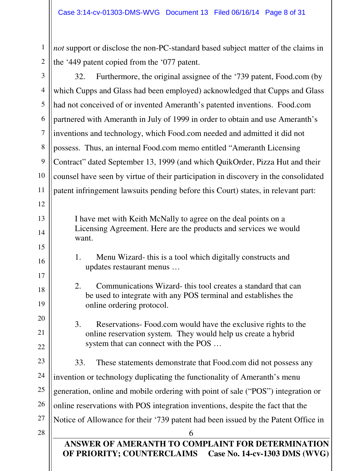*not* support or disclose the non-PC-standard based subject matter of the claims in the '449 patent copied from the '077 patent.

6 **ANSWER OF AMERANTH TO COMPLAINT FOR DETERMINATION OF PRIORITY; COUNTERCLAIMS Case No. 14-cv-1303 DMS (WVG)** 3 4 5 6 7 8 9 26 27 28 32. Furthermore, the original assignee of the '739 patent, Food.com (by which Cupps and Glass had been employed) acknowledged that Cupps and Glass had not conceived of or invented Ameranth's patented inventions. Food.com partnered with Ameranth in July of 1999 in order to obtain and use Ameranth's inventions and technology, which Food.com needed and admitted it did not possess. Thus, an internal Food.com memo entitled "Ameranth Licensing Contract" dated September 13, 1999 (and which QuikOrder, Pizza Hut and their counsel have seen by virtue of their participation in discovery in the consolidated patent infringement lawsuits pending before this Court) states, in relevant part: I have met with Keith McNally to agree on the deal points on a Licensing Agreement. Here are the products and services we would want. 1. Menu Wizard- this is a tool which digitally constructs and updates restaurant menus … 2. Communications Wizard- this tool creates a standard that can be used to integrate with any POS terminal and establishes the online ordering protocol. 3. Reservations- Food.com would have the exclusive rights to the online reservation system. They would help us create a hybrid system that can connect with the POS … 33. These statements demonstrate that Food.com did not possess any invention or technology duplicating the functionality of Ameranth's menu generation, online and mobile ordering with point of sale ("POS") integration or online reservations with POS integration inventions, despite the fact that the Notice of Allowance for their '739 patent had been issued by the Patent Office in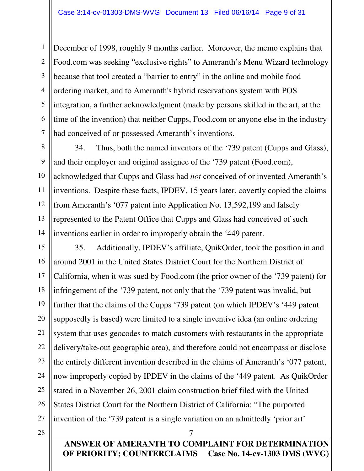December of 1998, roughly 9 months earlier. Moreover, the memo explains that Food.com was seeking "exclusive rights" to Ameranth's Menu Wizard technology because that tool created a "barrier to entry" in the online and mobile food ordering market, and to Ameranth's hybrid reservations system with POS integration, a further acknowledgment (made by persons skilled in the art, at the time of the invention) that neither Cupps, Food.com or anyone else in the industry had conceived of or possessed Ameranth's inventions.

34. Thus, both the named inventors of the '739 patent (Cupps and Glass), and their employer and original assignee of the '739 patent (Food.com), acknowledged that Cupps and Glass had *not* conceived of or invented Ameranth's inventions. Despite these facts, IPDEV, 15 years later, covertly copied the claims from Ameranth's '077 patent into Application No. 13,592,199 and falsely represented to the Patent Office that Cupps and Glass had conceived of such inventions earlier in order to improperly obtain the '449 patent.

15 16 17 18 19 20 21 22 23 24 25 26 27 35. Additionally, IPDEV's affiliate, QuikOrder, took the position in and around 2001 in the United States District Court for the Northern District of California, when it was sued by Food.com (the prior owner of the '739 patent) for infringement of the '739 patent, not only that the '739 patent was invalid, but further that the claims of the Cupps '739 patent (on which IPDEV's '449 patent supposedly is based) were limited to a single inventive idea (an online ordering system that uses geocodes to match customers with restaurants in the appropriate delivery/take-out geographic area), and therefore could not encompass or disclose the entirely different invention described in the claims of Ameranth's '077 patent, now improperly copied by IPDEV in the claims of the '449 patent. As QuikOrder stated in a November 26, 2001 claim construction brief filed with the United States District Court for the Northern District of California: "The purported invention of the '739 patent is a single variation on an admittedly 'prior art'

28

1

2

3

4

5

6

7

8

9

10

11

12

13

14

**ANSWER OF AMERANTH TO COMPLAINT FOR DETERMINATION OF PRIORITY; COUNTERCLAIMS Case No. 14-cv-1303 DMS (WVG)**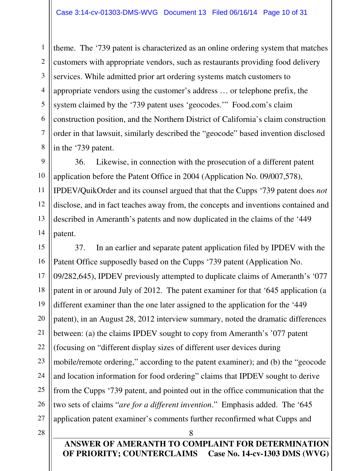6 8 theme. The '739 patent is characterized as an online ordering system that matches customers with appropriate vendors, such as restaurants providing food delivery services. While admitted prior art ordering systems match customers to appropriate vendors using the customer's address … or telephone prefix, the system claimed by the '739 patent uses 'geocodes.'" Food.com's claim construction position, and the Northern District of California's claim construction order in that lawsuit, similarly described the "geocode" based invention disclosed in the '739 patent.

36. Likewise, in connection with the prosecution of a different patent application before the Patent Office in 2004 (Application No. 09/007,578), IPDEV/QuikOrder and its counsel argued that that the Cupps '739 patent does *not* disclose, and in fact teaches away from, the concepts and inventions contained and described in Ameranth's patents and now duplicated in the claims of the '449 patent.

15 16 17 18 19 20 21 22 23 24 25 26 27 37. In an earlier and separate patent application filed by IPDEV with the Patent Office supposedly based on the Cupps '739 patent (Application No. 09/282,645), IPDEV previously attempted to duplicate claims of Ameranth's '077 patent in or around July of 2012. The patent examiner for that '645 application (a different examiner than the one later assigned to the application for the '449 patent), in an August 28, 2012 interview summary, noted the dramatic differences between: (a) the claims IPDEV sought to copy from Ameranth's '077 patent (focusing on "different display sizes of different user devices during mobile/remote ordering," according to the patent examiner); and (b) the "geocode and location information for food ordering" claims that IPDEV sought to derive from the Cupps '739 patent, and pointed out in the office communication that the two sets of claims "*are for a different invention*." Emphasis added. The '645 application patent examiner's comments further reconfirmed what Cupps and

28

1

2

3

4

5

7

9

10

11

12

13

14

**ANSWER OF AMERANTH TO COMPLAINT FOR DETERMINATION OF PRIORITY; COUNTERCLAIMS Case No. 14-cv-1303 DMS (WVG)**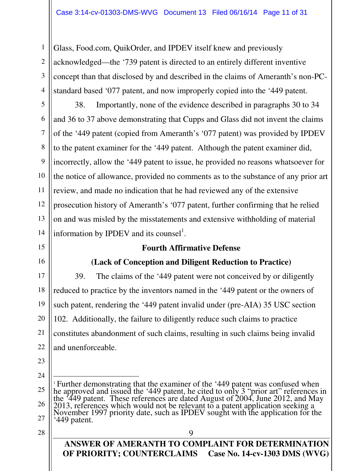Glass, Food.com, QuikOrder, and IPDEV itself knew and previously acknowledged—the '739 patent is directed to an entirely different inventive concept than that disclosed by and described in the claims of Ameranth's non-PCstandard based '077 patent, and now improperly copied into the '449 patent.

38. Importantly, none of the evidence described in paragraphs 30 to 34 and 36 to 37 above demonstrating that Cupps and Glass did not invent the claims of the '449 patent (copied from Ameranth's '077 patent) was provided by IPDEV to the patent examiner for the '449 patent. Although the patent examiner did, incorrectly, allow the '449 patent to issue, he provided no reasons whatsoever for the notice of allowance, provided no comments as to the substance of any prior art review, and made no indication that he had reviewed any of the extensive prosecution history of Ameranth's '077 patent, further confirming that he relied on and was misled by the misstatements and extensive withholding of material information by IPDEV and its counsel<sup>1</sup>.

## **Fourth Affirmative Defense**

## **(Lack of Conception and Diligent Reduction to Practice)**

39. The claims of the '449 patent were not conceived by or diligently reduced to practice by the inventors named in the '449 patent or the owners of such patent, rendering the '449 patent invalid under (pre-AIA) 35 USC section 102. Additionally, the failure to diligently reduce such claims to practice constitutes abandonment of such claims, resulting in such claims being invalid and unenforceable.

23

1

2

3

4

5

6

7

8

9

10

11

12

13

14

15

16

17

18

19

20

21

22

24

 $\overline{a}$ 

9

<sup>25</sup> 26 27 <sup>1</sup> Further demonstrating that the examiner of the '449 patent was confused when he approved and issued the '449 patent, he cited to only 3 "prior art" references in the '449 patent. These references are dated August of 2004, June 2012, and May 2013, references which would not be relevant to a patent application seeking a November 1997 priority date, such as IPDEV sought with the application for the '449 patent.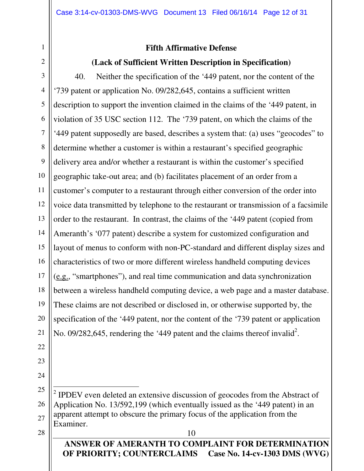# **Fifth Affirmative Defense**

## **(Lack of Sufficient Written Description in Specification)**

40. Neither the specification of the '449 patent, nor the content of the '739 patent or application No. 09/282,645, contains a sufficient written description to support the invention claimed in the claims of the '449 patent, in violation of 35 USC section 112. The '739 patent, on which the claims of the '449 patent supposedly are based, describes a system that: (a) uses "geocodes" to determine whether a customer is within a restaurant's specified geographic delivery area and/or whether a restaurant is within the customer's specified geographic take-out area; and (b) facilitates placement of an order from a customer's computer to a restaurant through either conversion of the order into voice data transmitted by telephone to the restaurant or transmission of a facsimile order to the restaurant. In contrast, the claims of the '449 patent (copied from Ameranth's '077 patent) describe a system for customized configuration and layout of menus to conform with non-PC-standard and different display sizes and characteristics of two or more different wireless handheld computing devices (e.g., "smartphones"), and real time communication and data synchronization between a wireless handheld computing device, a web page and a master database. These claims are not described or disclosed in, or otherwise supported by, the specification of the '449 patent, nor the content of the '739 patent or application No. 09/282,645, rendering the '449 patent and the claims thereof invalid<sup>2</sup>.

10  $\overline{a}$ 2 IPDEV even deleted an extensive discussion of geocodes from the Abstract of Application No. 13/592,199 (which eventually issued as the '449 patent) in an apparent attempt to obscure the primary focus of the application from the Examiner.

**ANSWER OF AMERANTH TO COMPLAINT FOR DETERMINATION OF PRIORITY; COUNTERCLAIMS Case No. 14-cv-1303 DMS (WVG)**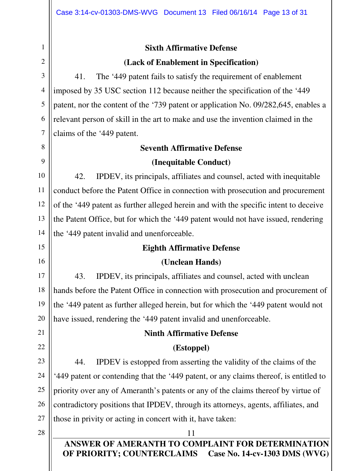5

6

7

8

9

10

11

12

13

15

16

17

18

19

20

21

22

23

24

25

26

# **Sixth Affirmative Defense (Lack of Enablement in Specification)**

41. The '449 patent fails to satisfy the requirement of enablement imposed by 35 USC section 112 because neither the specification of the '449 patent, nor the content of the '739 patent or application No. 09/282,645, enables a relevant person of skill in the art to make and use the invention claimed in the claims of the '449 patent.

#### **Seventh Affirmative Defense**

## **(Inequitable Conduct)**

14 42. IPDEV, its principals, affiliates and counsel, acted with inequitable conduct before the Patent Office in connection with prosecution and procurement of the '449 patent as further alleged herein and with the specific intent to deceive the Patent Office, but for which the '449 patent would not have issued, rendering the '449 patent invalid and unenforceable.

## **Eighth Affirmative Defense**

## **(Unclean Hands)**

43. IPDEV, its principals, affiliates and counsel, acted with unclean hands before the Patent Office in connection with prosecution and procurement of the '449 patent as further alleged herein, but for which the '449 patent would not have issued, rendering the '449 patent invalid and unenforceable.

## **Ninth Affirmative Defense**

## **(Estoppel)**

44. IPDEV is estopped from asserting the validity of the claims of the '449 patent or contending that the '449 patent, or any claims thereof, is entitled to priority over any of Ameranth's patents or any of the claims thereof by virtue of contradictory positions that IPDEV, through its attorneys, agents, affiliates, and those in privity or acting in concert with it, have taken:

28

27

**ANSWER OF AMERANTH TO COMPLAINT FOR DETERMINATION OF PRIORITY; COUNTERCLAIMS Case No. 14-cv-1303 DMS (WVG)**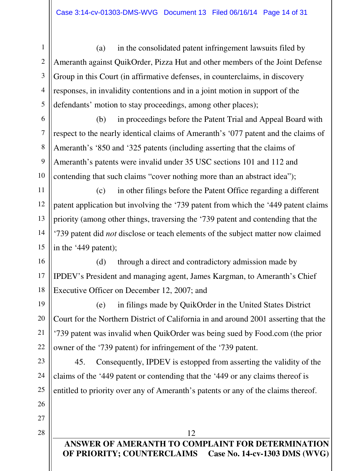(a) in the consolidated patent infringement lawsuits filed by Ameranth against QuikOrder, Pizza Hut and other members of the Joint Defense Group in this Court (in affirmative defenses, in counterclaims, in discovery responses, in invalidity contentions and in a joint motion in support of the defendants' motion to stay proceedings, among other places);

(b) in proceedings before the Patent Trial and Appeal Board with respect to the nearly identical claims of Ameranth's '077 patent and the claims of Ameranth's '850 and '325 patents (including asserting that the claims of Ameranth's patents were invalid under 35 USC sections 101 and 112 and contending that such claims "cover nothing more than an abstract idea");

(c) in other filings before the Patent Office regarding a different patent application but involving the '739 patent from which the '449 patent claims priority (among other things, traversing the '739 patent and contending that the '739 patent did *not* disclose or teach elements of the subject matter now claimed in the '449 patent);

(d) through a direct and contradictory admission made by IPDEV's President and managing agent, James Kargman, to Ameranth's Chief Executive Officer on December 12, 2007; and

(e) in filings made by QuikOrder in the United States District Court for the Northern District of California in and around 2001 asserting that the '739 patent was invalid when QuikOrder was being sued by Food.com (the prior owner of the '739 patent) for infringement of the '739 patent.

45. Consequently, IPDEV is estopped from asserting the validity of the claims of the '449 patent or contending that the '449 or any claims thereof is entitled to priority over any of Ameranth's patents or any of the claims thereof.

## **ANSWER OF AMERANTH TO COMPLAINT FOR DETERMINATION OF PRIORITY; COUNTERCLAIMS Case No. 14-cv-1303 DMS (WVG)**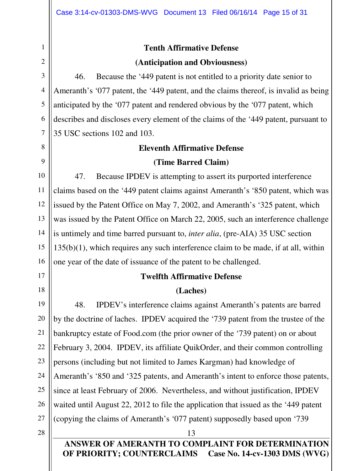17

18

# **Tenth Affirmative Defense (Anticipation and Obviousness)**

46. Because the '449 patent is not entitled to a priority date senior to Ameranth's '077 patent, the '449 patent, and the claims thereof, is invalid as being anticipated by the '077 patent and rendered obvious by the '077 patent, which describes and discloses every element of the claims of the '449 patent, pursuant to 35 USC sections 102 and 103.

#### **Eleventh Affirmative Defense**

#### **(Time Barred Claim)**

16 47. Because IPDEV is attempting to assert its purported interference claims based on the '449 patent claims against Ameranth's '850 patent, which was issued by the Patent Office on May 7, 2002, and Ameranth's '325 patent, which was issued by the Patent Office on March 22, 2005, such an interference challenge is untimely and time barred pursuant to, *inter alia*, (pre-AIA) 35 USC section 135(b)(1), which requires any such interference claim to be made, if at all, within one year of the date of issuance of the patent to be challenged.

#### **Twelfth Affirmative Defense**

## **(Laches)**

19 20 21 22 23 24 25 26 27 48. IPDEV's interference claims against Ameranth's patents are barred by the doctrine of laches. IPDEV acquired the '739 patent from the trustee of the bankruptcy estate of Food.com (the prior owner of the '739 patent) on or about February 3, 2004. IPDEV, its affiliate QuikOrder, and their common controlling persons (including but not limited to James Kargman) had knowledge of Ameranth's '850 and '325 patents, and Ameranth's intent to enforce those patents, since at least February of 2006. Nevertheless, and without justification, IPDEV waited until August 22, 2012 to file the application that issued as the '449 patent (copying the claims of Ameranth's '077 patent) supposedly based upon '739

28

**ANSWER OF AMERANTH TO COMPLAINT FOR DETERMINATION OF PRIORITY; COUNTERCLAIMS Case No. 14-cv-1303 DMS (WVG)**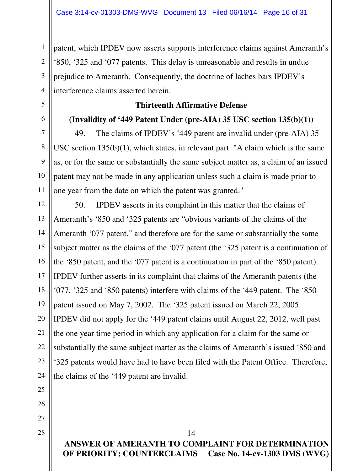patent, which IPDEV now asserts supports interference claims against Ameranth's '850, '325 and '077 patents. This delay is unreasonable and results in undue prejudice to Ameranth. Consequently, the doctrine of laches bars IPDEV's interference claims asserted herein.

#### **Thirteenth Affirmative Defense**

#### **(Invalidity of '449 Patent Under (pre-AIA) 35 USC section 135(b)(1))**

49. The claims of IPDEV's '449 patent are invalid under (pre-AIA) 35 USC section 135(b)(1), which states, in relevant part: "A claim which is the same as, or for the same or substantially the same subject matter as, a claim of an issued patent may not be made in any application unless such a claim is made prior to one year from the date on which the patent was granted."

12 13 14 15 16 17 18 19 20 21 22 23 24 50. IPDEV asserts in its complaint in this matter that the claims of Ameranth's '850 and '325 patents are "obvious variants of the claims of the Ameranth '077 patent," and therefore are for the same or substantially the same subject matter as the claims of the '077 patent (the '325 patent is a continuation of the '850 patent, and the '077 patent is a continuation in part of the '850 patent). IPDEV further asserts in its complaint that claims of the Ameranth patents (the '077, '325 and '850 patents) interfere with claims of the '449 patent. The '850 patent issued on May 7, 2002. The '325 patent issued on March 22, 2005. IPDEV did not apply for the '449 patent claims until August 22, 2012, well past the one year time period in which any application for a claim for the same or substantially the same subject matter as the claims of Ameranth's issued '850 and '325 patents would have had to have been filed with the Patent Office. Therefore, the claims of the '449 patent are invalid.

25 26

1

2

3

4

5

6

7

8

9

10

11

27 28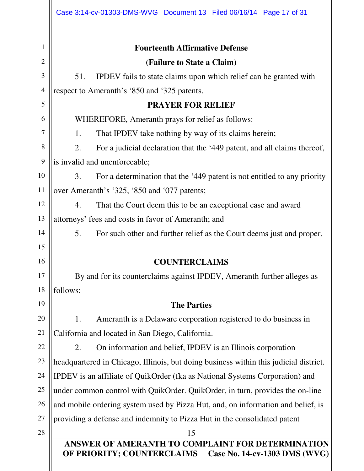|                | Case 3:14-cv-01303-DMS-WVG Document 13 Filed 06/16/14 Page 17 of 31                   |  |  |
|----------------|---------------------------------------------------------------------------------------|--|--|
| 1              | <b>Fourteenth Affirmative Defense</b>                                                 |  |  |
| $\overline{2}$ | (Failure to State a Claim)                                                            |  |  |
| 3              | 51.<br>IPDEV fails to state claims upon which relief can be granted with              |  |  |
| $\overline{4}$ | respect to Ameranth's '850 and '325 patents.                                          |  |  |
| 5              | <b>PRAYER FOR RELIEF</b>                                                              |  |  |
| 6              | WHEREFORE, Ameranth prays for relief as follows:                                      |  |  |
| 7              | 1.<br>That IPDEV take nothing by way of its claims herein;                            |  |  |
| 8              | 2.<br>For a judicial declaration that the '449 patent, and all claims thereof,        |  |  |
| 9              | is invalid and unenforceable;                                                         |  |  |
| 10             | 3.<br>For a determination that the '449 patent is not entitled to any priority        |  |  |
| 11             | over Ameranth's '325, '850 and '077 patents;                                          |  |  |
| 12             | 4.<br>That the Court deem this to be an exceptional case and award                    |  |  |
| 13             | attorneys' fees and costs in favor of Ameranth; and                                   |  |  |
| 14             | 5.<br>For such other and further relief as the Court deems just and proper.           |  |  |
| 15             |                                                                                       |  |  |
| 16             | <b>COUNTERCLAIMS</b>                                                                  |  |  |
| 17             | By and for its counterclaims against IPDEV, Ameranth further alleges as               |  |  |
| 18             | follows:                                                                              |  |  |
| 19             | <b>The Parties</b>                                                                    |  |  |
| 20             | 1.<br>Ameranth is a Delaware corporation registered to do business in                 |  |  |
| 21             | California and located in San Diego, California.                                      |  |  |
| 22             | On information and belief, IPDEV is an Illinois corporation<br>2.                     |  |  |
| 23             | headquartered in Chicago, Illinois, but doing business within this judicial district. |  |  |
| 24             | IPDEV is an affiliate of QuikOrder (fka as National Systems Corporation) and          |  |  |
| 25             | under common control with QuikOrder. QuikOrder, in turn, provides the on-line         |  |  |
| 26             | and mobile ordering system used by Pizza Hut, and, on information and belief, is      |  |  |
| 27             | providing a defense and indemnity to Pizza Hut in the consolidated patent             |  |  |
| 28             | 15<br>ANSWER OF AMERANTH TO COMPLAINT FOR DETERMINATION                               |  |  |
|                | OF PRIORITY; COUNTERCLAIMS<br>Case No. 14-cv-1303 DMS (WVG)                           |  |  |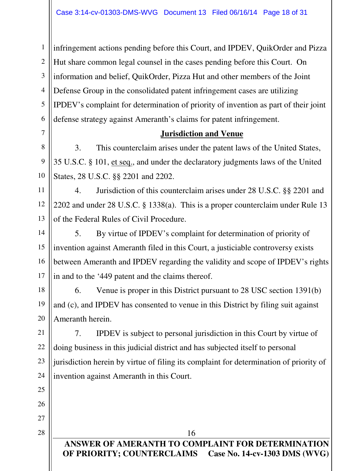infringement actions pending before this Court, and IPDEV, QuikOrder and Pizza Hut share common legal counsel in the cases pending before this Court. On information and belief, QuikOrder, Pizza Hut and other members of the Joint Defense Group in the consolidated patent infringement cases are utilizing IPDEV's complaint for determination of priority of invention as part of their joint defense strategy against Ameranth's claims for patent infringement.

## **Jurisdiction and Venue**

3. This counterclaim arises under the patent laws of the United States, 35 U.S.C. § 101, et seq., and under the declaratory judgments laws of the United States, 28 U.S.C. §§ 2201 and 2202.

4. Jurisdiction of this counterclaim arises under 28 U.S.C. §§ 2201 and 2202 and under 28 U.S.C. § 1338(a). This is a proper counterclaim under Rule 13 of the Federal Rules of Civil Procedure.

14 16 17 5. By virtue of IPDEV's complaint for determination of priority of invention against Ameranth filed in this Court, a justiciable controversy exists between Ameranth and IPDEV regarding the validity and scope of IPDEV's rights in and to the '449 patent and the claims thereof.

18 19 20 6. Venue is proper in this District pursuant to 28 USC section 1391(b) and (c), and IPDEV has consented to venue in this District by filing suit against Ameranth herein.

7. IPDEV is subject to personal jurisdiction in this Court by virtue of doing business in this judicial district and has subjected itself to personal jurisdiction herein by virtue of filing its complaint for determination of priority of invention against Ameranth in this Court.

26 27

21

22

23

24

25

1

2

3

4

5

6

7

8

9

10

11

12

13

15

28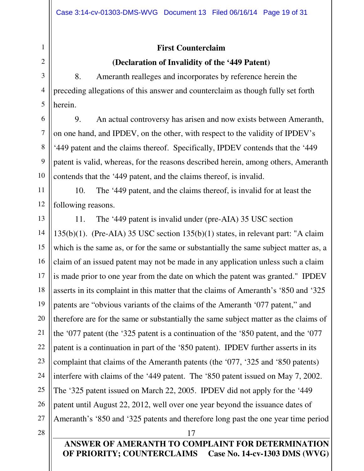## **First Counterclaim**

## **(Declaration of Invalidity of the '449 Patent)**

8. Ameranth realleges and incorporates by reference herein the preceding allegations of this answer and counterclaim as though fully set forth herein.

9. An actual controversy has arisen and now exists between Ameranth, on one hand, and IPDEV, on the other, with respect to the validity of IPDEV's '449 patent and the claims thereof. Specifically, IPDEV contends that the '449 patent is valid, whereas, for the reasons described herein, among others, Ameranth contends that the '449 patent, and the claims thereof, is invalid.

12 10. The '449 patent, and the claims thereof, is invalid for at least the following reasons.

13 14 15 16 17 18 19 20 21 22 23 24 25 26 27 11. The '449 patent is invalid under (pre-AIA) 35 USC section 135(b)(1). (Pre-AIA) 35 USC section 135(b)(1) states, in relevant part: "A claim which is the same as, or for the same or substantially the same subject matter as, a claim of an issued patent may not be made in any application unless such a claim is made prior to one year from the date on which the patent was granted." IPDEV asserts in its complaint in this matter that the claims of Ameranth's '850 and '325 patents are "obvious variants of the claims of the Ameranth '077 patent," and therefore are for the same or substantially the same subject matter as the claims of the '077 patent (the '325 patent is a continuation of the '850 patent, and the '077 patent is a continuation in part of the '850 patent). IPDEV further asserts in its complaint that claims of the Ameranth patents (the '077, '325 and '850 patents) interfere with claims of the '449 patent. The '850 patent issued on May 7, 2002. The '325 patent issued on March 22, 2005. IPDEV did not apply for the '449 patent until August 22, 2012, well over one year beyond the issuance dates of Ameranth's '850 and '325 patents and therefore long past the one year time period

1

2

3

4

5

6

7

8

9

10

11

**ANSWER OF AMERANTH TO COMPLAINT FOR DETERMINATION OF PRIORITY; COUNTERCLAIMS Case No. 14-cv-1303 DMS (WVG)**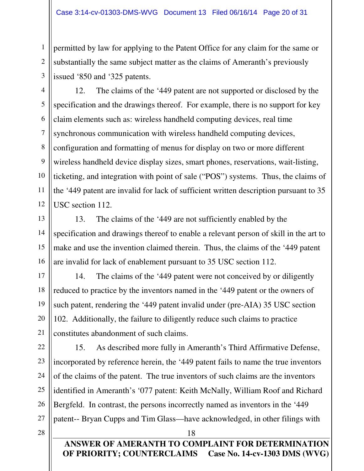permitted by law for applying to the Patent Office for any claim for the same or substantially the same subject matter as the claims of Ameranth's previously issued '850 and '325 patents.

12. The claims of the '449 patent are not supported or disclosed by the specification and the drawings thereof. For example, there is no support for key claim elements such as: wireless handheld computing devices, real time synchronous communication with wireless handheld computing devices, configuration and formatting of menus for display on two or more different wireless handheld device display sizes, smart phones, reservations, wait-listing, ticketing, and integration with point of sale ("POS") systems. Thus, the claims of the '449 patent are invalid for lack of sufficient written description pursuant to 35 USC section 112.

13. The claims of the '449 are not sufficiently enabled by the specification and drawings thereof to enable a relevant person of skill in the art to make and use the invention claimed therein. Thus, the claims of the '449 patent are invalid for lack of enablement pursuant to 35 USC section 112.

14. The claims of the '449 patent were not conceived by or diligently reduced to practice by the inventors named in the '449 patent or the owners of such patent, rendering the '449 patent invalid under (pre-AIA) 35 USC section 102. Additionally, the failure to diligently reduce such claims to practice constitutes abandonment of such claims.

15. As described more fully in Ameranth's Third Affirmative Defense, incorporated by reference herein, the '449 patent fails to name the true inventors of the claims of the patent. The true inventors of such claims are the inventors identified in Ameranth's '077 patent: Keith McNally, William Roof and Richard Bergfeld. In contrast, the persons incorrectly named as inventors in the '449 patent-- Bryan Cupps and Tim Glass—have acknowledged, in other filings with

**ANSWER OF AMERANTH TO COMPLAINT FOR DETERMINATION OF PRIORITY; COUNTERCLAIMS Case No. 14-cv-1303 DMS (WVG)**

18

1

2

3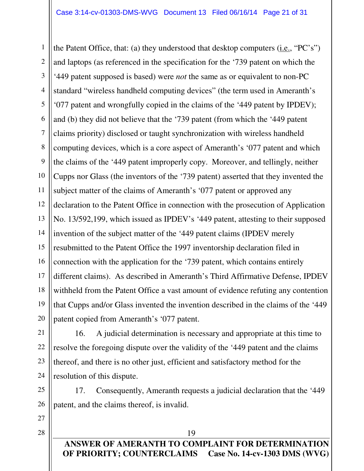1 2 3 4 5 6 7 8 9 10 11 12 13 14 15 16 17 18 19 20 the Patent Office, that: (a) they understood that desktop computers (i.e., "PC's") and laptops (as referenced in the specification for the '739 patent on which the '449 patent supposed is based) were *not* the same as or equivalent to non-PC standard "wireless handheld computing devices" (the term used in Ameranth's '077 patent and wrongfully copied in the claims of the '449 patent by IPDEV); and (b) they did not believe that the '739 patent (from which the '449 patent claims priority) disclosed or taught synchronization with wireless handheld computing devices, which is a core aspect of Ameranth's '077 patent and which the claims of the '449 patent improperly copy. Moreover, and tellingly, neither Cupps nor Glass (the inventors of the '739 patent) asserted that they invented the subject matter of the claims of Ameranth's '077 patent or approved any declaration to the Patent Office in connection with the prosecution of Application No. 13/592,199, which issued as IPDEV's '449 patent, attesting to their supposed invention of the subject matter of the '449 patent claims (IPDEV merely resubmitted to the Patent Office the 1997 inventorship declaration filed in connection with the application for the '739 patent, which contains entirely different claims). As described in Ameranth's Third Affirmative Defense, IPDEV withheld from the Patent Office a vast amount of evidence refuting any contention that Cupps and/or Glass invented the invention described in the claims of the '449 patent copied from Ameranth's '077 patent.

16. A judicial determination is necessary and appropriate at this time to resolve the foregoing dispute over the validity of the '449 patent and the claims thereof, and there is no other just, efficient and satisfactory method for the resolution of this dispute.

25 26 17. Consequently, Ameranth requests a judicial declaration that the '449 patent, and the claims thereof, is invalid.

27

21

22

23

24

28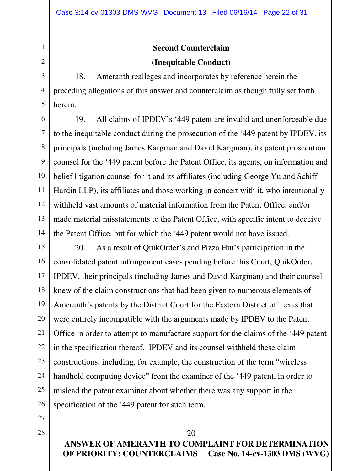# **Second Counterclaim (Inequitable Conduct)**

18. Ameranth realleges and incorporates by reference herein the preceding allegations of this answer and counterclaim as though fully set forth herein.

19. All claims of IPDEV's '449 patent are invalid and unenforceable due to the inequitable conduct during the prosecution of the '449 patent by IPDEV, its principals (including James Kargman and David Kargman), its patent prosecution counsel for the '449 patent before the Patent Office, its agents, on information and belief litigation counsel for it and its affiliates (including George Yu and Schiff Hardin LLP), its affiliates and those working in concert with it, who intentionally withheld vast amounts of material information from the Patent Office, and/or made material misstatements to the Patent Office, with specific intent to deceive the Patent Office, but for which the '449 patent would not have issued.

15 16 17 18 19 20 21 22 23 24 25 26 20. As a result of QuikOrder's and Pizza Hut's participation in the consolidated patent infringement cases pending before this Court, QuikOrder, IPDEV, their principals (including James and David Kargman) and their counsel knew of the claim constructions that had been given to numerous elements of Ameranth's patents by the District Court for the Eastern District of Texas that were entirely incompatible with the arguments made by IPDEV to the Patent Office in order to attempt to manufacture support for the claims of the '449 patent in the specification thereof. IPDEV and its counsel withheld these claim constructions, including, for example, the construction of the term "wireless handheld computing device" from the examiner of the '449 patent, in order to mislead the patent examiner about whether there was any support in the specification of the '449 patent for such term.

27

1

2

3

4

5

6

7

8

9

10

11

12

13

14

28

**ANSWER OF AMERANTH TO COMPLAINT FOR DETERMINATION OF PRIORITY; COUNTERCLAIMS Case No. 14-cv-1303 DMS (WVG)**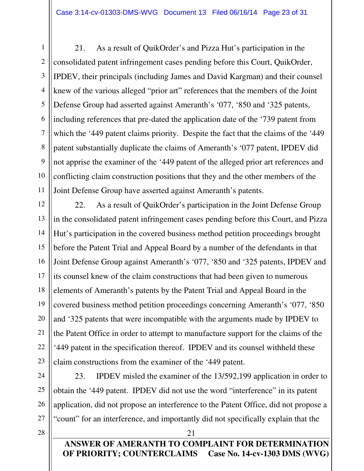21. As a result of QuikOrder's and Pizza Hut's participation in the consolidated patent infringement cases pending before this Court, QuikOrder, IPDEV, their principals (including James and David Kargman) and their counsel knew of the various alleged "prior art" references that the members of the Joint Defense Group had asserted against Ameranth's '077, '850 and '325 patents, including references that pre-dated the application date of the '739 patent from which the '449 patent claims priority. Despite the fact that the claims of the '449 patent substantially duplicate the claims of Ameranth's '077 patent, IPDEV did not apprise the examiner of the '449 patent of the alleged prior art references and conflicting claim construction positions that they and the other members of the Joint Defense Group have asserted against Ameranth's patents.

12 13 14 15 16 17 18 19 20 21 22 23 22. As a result of QuikOrder's participation in the Joint Defense Group in the consolidated patent infringement cases pending before this Court, and Pizza Hut's participation in the covered business method petition proceedings brought before the Patent Trial and Appeal Board by a number of the defendants in that Joint Defense Group against Ameranth's '077, '850 and '325 patents, IPDEV and its counsel knew of the claim constructions that had been given to numerous elements of Ameranth's patents by the Patent Trial and Appeal Board in the covered business method petition proceedings concerning Ameranth's '077, '850 and '325 patents that were incompatible with the arguments made by IPDEV to the Patent Office in order to attempt to manufacture support for the claims of the '449 patent in the specification thereof. IPDEV and its counsel withheld these claim constructions from the examiner of the '449 patent.

23. IPDEV misled the examiner of the 13/592,199 application in order to obtain the '449 patent. IPDEV did not use the word "interference" in its patent application, did not propose an interference to the Patent Office, did not propose a "count" for an interference, and importantly did not specifically explain that the

21

28

24

25

26

27

1

2

3

4

5

6

7

8

9

10

**ANSWER OF AMERANTH TO COMPLAINT FOR DETERMINATION OF PRIORITY; COUNTERCLAIMS Case No. 14-cv-1303 DMS (WVG)**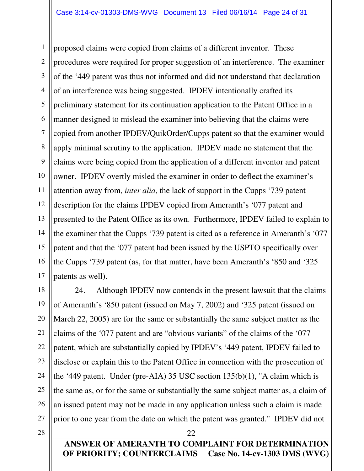1 2 3 4 5 6 7 8 9 10 11 12 13 14 15 16 17 proposed claims were copied from claims of a different inventor. These procedures were required for proper suggestion of an interference. The examiner of the '449 patent was thus not informed and did not understand that declaration of an interference was being suggested. IPDEV intentionally crafted its preliminary statement for its continuation application to the Patent Office in a manner designed to mislead the examiner into believing that the claims were copied from another IPDEV/QuikOrder/Cupps patent so that the examiner would apply minimal scrutiny to the application. IPDEV made no statement that the claims were being copied from the application of a different inventor and patent owner. IPDEV overtly misled the examiner in order to deflect the examiner's attention away from, *inter alia*, the lack of support in the Cupps '739 patent description for the claims IPDEV copied from Ameranth's '077 patent and presented to the Patent Office as its own. Furthermore, IPDEV failed to explain to the examiner that the Cupps '739 patent is cited as a reference in Ameranth's '077 patent and that the '077 patent had been issued by the USPTO specifically over the Cupps '739 patent (as, for that matter, have been Ameranth's '850 and '325 patents as well).

18 20 22 23 24 25 26 24. Although IPDEV now contends in the present lawsuit that the claims of Ameranth's '850 patent (issued on May 7, 2002) and '325 patent (issued on March 22, 2005) are for the same or substantially the same subject matter as the claims of the '077 patent and are "obvious variants" of the claims of the '077 patent, which are substantially copied by IPDEV's '449 patent, IPDEV failed to disclose or explain this to the Patent Office in connection with the prosecution of the '449 patent. Under (pre-AIA) 35 USC section 135(b)(1), "A claim which is the same as, or for the same or substantially the same subject matter as, a claim of an issued patent may not be made in any application unless such a claim is made prior to one year from the date on which the patent was granted." IPDEV did not

28

27

19

21

**ANSWER OF AMERANTH TO COMPLAINT FOR DETERMINATION OF PRIORITY; COUNTERCLAIMS Case No. 14-cv-1303 DMS (WVG)**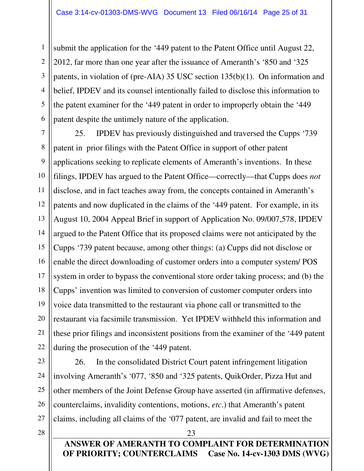submit the application for the '449 patent to the Patent Office until August 22, 2012, far more than one year after the issuance of Ameranth's '850 and '325 patents, in violation of (pre-AIA) 35 USC section 135(b)(1). On information and belief, IPDEV and its counsel intentionally failed to disclose this information to the patent examiner for the '449 patent in order to improperly obtain the '449 patent despite the untimely nature of the application.

7 8 9 10 11 12 13 14 15 16 17 18 19 20 21 22 25. IPDEV has previously distinguished and traversed the Cupps '739 patent in prior filings with the Patent Office in support of other patent applications seeking to replicate elements of Ameranth's inventions. In these filings, IPDEV has argued to the Patent Office—correctly—that Cupps does *not* disclose, and in fact teaches away from, the concepts contained in Ameranth's patents and now duplicated in the claims of the '449 patent. For example, in its August 10, 2004 Appeal Brief in support of Application No. 09/007,578, IPDEV argued to the Patent Office that its proposed claims were not anticipated by the Cupps '739 patent because, among other things: (a) Cupps did not disclose or enable the direct downloading of customer orders into a computer system/ POS system in order to bypass the conventional store order taking process; and (b) the Cupps' invention was limited to conversion of customer computer orders into voice data transmitted to the restaurant via phone call or transmitted to the restaurant via facsimile transmission. Yet IPDEV withheld this information and these prior filings and inconsistent positions from the examiner of the '449 patent during the prosecution of the '449 patent.

26. In the consolidated District Court patent infringement litigation involving Ameranth's '077, '850 and '325 patents, QuikOrder, Pizza Hut and other members of the Joint Defense Group have asserted (in affirmative defenses, counterclaims, invalidity contentions, motions, *etc*.) that Ameranth's patent claims, including all claims of the '077 patent, are invalid and fail to meet the

28

23

24

25

26

27

1

2

3

4

5

6

**ANSWER OF AMERANTH TO COMPLAINT FOR DETERMINATION OF PRIORITY; COUNTERCLAIMS Case No. 14-cv-1303 DMS (WVG)**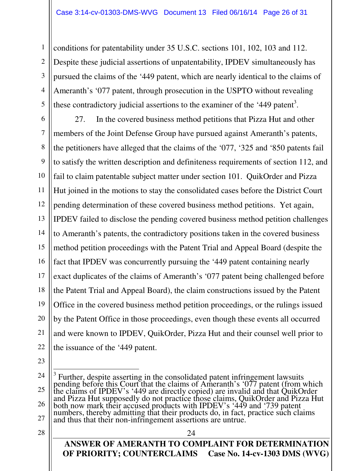conditions for patentability under 35 U.S.C. sections 101, 102, 103 and 112. Despite these judicial assertions of unpatentability, IPDEV simultaneously has pursued the claims of the '449 patent, which are nearly identical to the claims of Ameranth's '077 patent, through prosecution in the USPTO without revealing these contradictory judicial assertions to the examiner of the '449 patent<sup>3</sup>.

6 7 8 9 10 11 12 13 14 15 16 17 18 19 20 21 22 27. In the covered business method petitions that Pizza Hut and other members of the Joint Defense Group have pursued against Ameranth's patents, the petitioners have alleged that the claims of the '077, '325 and '850 patents fail to satisfy the written description and definiteness requirements of section 112, and fail to claim patentable subject matter under section 101. QuikOrder and Pizza Hut joined in the motions to stay the consolidated cases before the District Court pending determination of these covered business method petitions. Yet again, IPDEV failed to disclose the pending covered business method petition challenges to Ameranth's patents, the contradictory positions taken in the covered business method petition proceedings with the Patent Trial and Appeal Board (despite the fact that IPDEV was concurrently pursuing the '449 patent containing nearly exact duplicates of the claims of Ameranth's '077 patent being challenged before the Patent Trial and Appeal Board), the claim constructions issued by the Patent Office in the covered business method petition proceedings, or the rulings issued by the Patent Office in those proceedings, even though these events all occurred and were known to IPDEV, QuikOrder, Pizza Hut and their counsel well prior to the issuance of the '449 patent.

23

1

2

3

4

5

28

<sup>24</sup> 25 26 27 <sup>3</sup> Further, despite asserting in the consolidated patent infringement lawsuits pending before this Court that the claims of Ameranth's '077 patent (from which the claims of IPDEV's '449 are directly copied) are invalid and that QuikOrder and Pizza Hut supposedly do not practice those claims, QuikOrder and Pizza Hut both now mark their accused products with IPDEV's '449 and '739 patent numbers, thereby admitting that their products do, in fact, practice such claims and thus that their non-infringement assertions are untrue.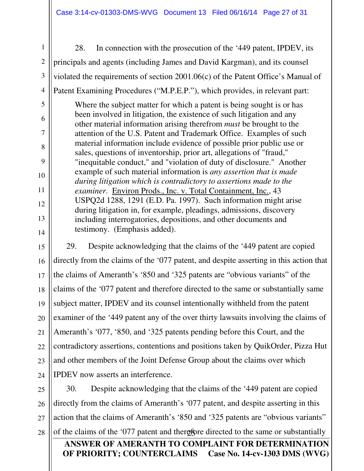1 2

3

4

28. In connection with the prosecution of the '449 patent, IPDEV, its principals and agents (including James and David Kargman), and its counsel violated the requirements of section 2001.06(c) of the Patent Office's Manual of Patent Examining Procedures ("M.P.E.P."), which provides, in relevant part:

Where the subject matter for which a patent is being sought is or has been involved in litigation, the existence of such litigation and any other material information arising therefrom *must* be brought to the attention of the U.S. Patent and Trademark Office. Examples of such material information include evidence of possible prior public use or sales, questions of inventorship, prior art, allegations of "fraud," "inequitable conduct," and "violation of duty of disclosure." Another example of such material information is *any assertion that is made during litigation which is contradictory to assertions made to the examiner*. Environ Prods., Inc. v. Total Containment, Inc., 43 USPQ2d 1288, 1291 (E.D. Pa. 1997). Such information might arise during litigation in, for example, pleadings, admissions, discovery including interrogatories, depositions, and other documents and testimony. (Emphasis added).

21 22 23 24 29. Despite acknowledging that the claims of the '449 patent are copied directly from the claims of the '077 patent, and despite asserting in this action that the claims of Ameranth's '850 and '325 patents are "obvious variants" of the claims of the '077 patent and therefore directed to the same or substantially same subject matter, IPDEV and its counsel intentionally withheld from the patent examiner of the '449 patent any of the over thirty lawsuits involving the claims of Ameranth's '077, '850, and '325 patents pending before this Court, and the contradictory assertions, contentions and positions taken by QuikOrder, Pizza Hut and other members of the Joint Defense Group about the claims over which IPDEV now asserts an interference.

of the claims of the '077 patent and therefore directed to the same or substantially **ANSWER OF AMERANTH TO COMPLAINT FOR DETERMINATION OF PRIORITY; COUNTERCLAIMS Case No. 14-cv-1303 DMS (WVG)** 25 26 27 30. Despite acknowledging that the claims of the '449 patent are copied directly from the claims of Ameranth's '077 patent, and despite asserting in this action that the claims of Ameranth's '850 and '325 patents are "obvious variants"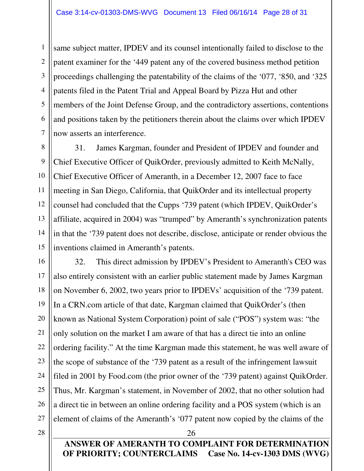same subject matter, IPDEV and its counsel intentionally failed to disclose to the patent examiner for the '449 patent any of the covered business method petition proceedings challenging the patentability of the claims of the '077, '850, and '325 patents filed in the Patent Trial and Appeal Board by Pizza Hut and other members of the Joint Defense Group, and the contradictory assertions, contentions and positions taken by the petitioners therein about the claims over which IPDEV now asserts an interference.

31. James Kargman, founder and President of IPDEV and founder and Chief Executive Officer of QuikOrder, previously admitted to Keith McNally, Chief Executive Officer of Ameranth, in a December 12, 2007 face to face meeting in San Diego, California, that QuikOrder and its intellectual property counsel had concluded that the Cupps '739 patent (which IPDEV, QuikOrder's affiliate, acquired in 2004) was "trumped" by Ameranth's synchronization patents in that the '739 patent does not describe, disclose, anticipate or render obvious the inventions claimed in Ameranth's patents.

32. This direct admission by IPDEV's President to Ameranth's CEO was also entirely consistent with an earlier public statement made by James Kargman on November 6, 2002, two years prior to IPDEVs' acquisition of the '739 patent. In a CRN.com article of that date, Kargman claimed that QuikOrder's (then known as National System Corporation) point of sale ("POS") system was: "the only solution on the market I am aware of that has a direct tie into an online ordering facility." At the time Kargman made this statement, he was well aware of the scope of substance of the '739 patent as a result of the infringement lawsuit filed in 2001 by Food.com (the prior owner of the '739 patent) against QuikOrder. Thus, Mr. Kargman's statement, in November of 2002, that no other solution had a direct tie in between an online ordering facility and a POS system (which is an element of claims of the Ameranth's '077 patent now copied by the claims of the

28

26

1

2

3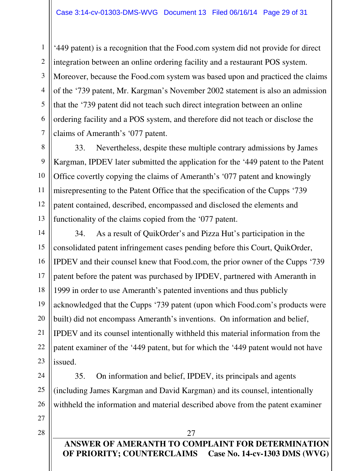'449 patent) is a recognition that the Food.com system did not provide for direct integration between an online ordering facility and a restaurant POS system. Moreover, because the Food.com system was based upon and practiced the claims of the '739 patent, Mr. Kargman's November 2002 statement is also an admission that the '739 patent did not teach such direct integration between an online ordering facility and a POS system, and therefore did not teach or disclose the claims of Ameranth's '077 patent.

33. Nevertheless, despite these multiple contrary admissions by James Kargman, IPDEV later submitted the application for the '449 patent to the Patent Office covertly copying the claims of Ameranth's '077 patent and knowingly misrepresenting to the Patent Office that the specification of the Cupps '739 patent contained, described, encompassed and disclosed the elements and functionality of the claims copied from the '077 patent.

34. As a result of QuikOrder's and Pizza Hut's participation in the consolidated patent infringement cases pending before this Court, QuikOrder, IPDEV and their counsel knew that Food.com, the prior owner of the Cupps '739 patent before the patent was purchased by IPDEV, partnered with Ameranth in 1999 in order to use Ameranth's patented inventions and thus publicly acknowledged that the Cupps '739 patent (upon which Food.com's products were built) did not encompass Ameranth's inventions. On information and belief, IPDEV and its counsel intentionally withheld this material information from the patent examiner of the '449 patent, but for which the '449 patent would not have issued.

35. On information and belief, IPDEV, its principals and agents (including James Kargman and David Kargman) and its counsel, intentionally withheld the information and material described above from the patent examiner

- 
- **ANSWER OF AMERANTH TO COMPLAINT FOR DETERMINATION OF PRIORITY; COUNTERCLAIMS Case No. 14-cv-1303 DMS (WVG)**

27

1

2

3

4

5

6

7

8

9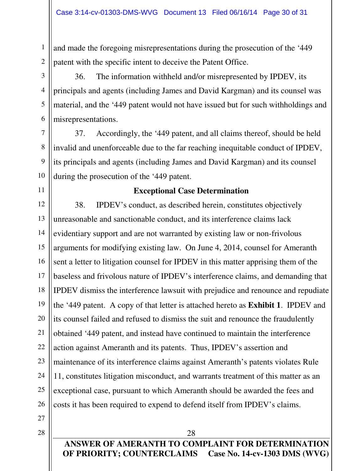and made the foregoing misrepresentations during the prosecution of the '449 patent with the specific intent to deceive the Patent Office.

36. The information withheld and/or misrepresented by IPDEV, its principals and agents (including James and David Kargman) and its counsel was material, and the '449 patent would not have issued but for such withholdings and misrepresentations.

37. Accordingly, the '449 patent, and all claims thereof, should be held invalid and unenforceable due to the far reaching inequitable conduct of IPDEV, its principals and agents (including James and David Kargman) and its counsel during the prosecution of the '449 patent.

## **Exceptional Case Determination**

12 13 14 15 16 17 18 19 20 21 22 23 24 25 26 38. IPDEV's conduct, as described herein, constitutes objectively unreasonable and sanctionable conduct, and its interference claims lack evidentiary support and are not warranted by existing law or non-frivolous arguments for modifying existing law. On June 4, 2014, counsel for Ameranth sent a letter to litigation counsel for IPDEV in this matter apprising them of the baseless and frivolous nature of IPDEV's interference claims, and demanding that IPDEV dismiss the interference lawsuit with prejudice and renounce and repudiate the '449 patent. A copy of that letter is attached hereto as **Exhibit 1**. IPDEV and its counsel failed and refused to dismiss the suit and renounce the fraudulently obtained '449 patent, and instead have continued to maintain the interference action against Ameranth and its patents. Thus, IPDEV's assertion and maintenance of its interference claims against Ameranth's patents violates Rule 11, constitutes litigation misconduct, and warrants treatment of this matter as an exceptional case, pursuant to which Ameranth should be awarded the fees and costs it has been required to expend to defend itself from IPDEV's claims.

27

1

2

3

4

5

6

7

8

9

10

11

28